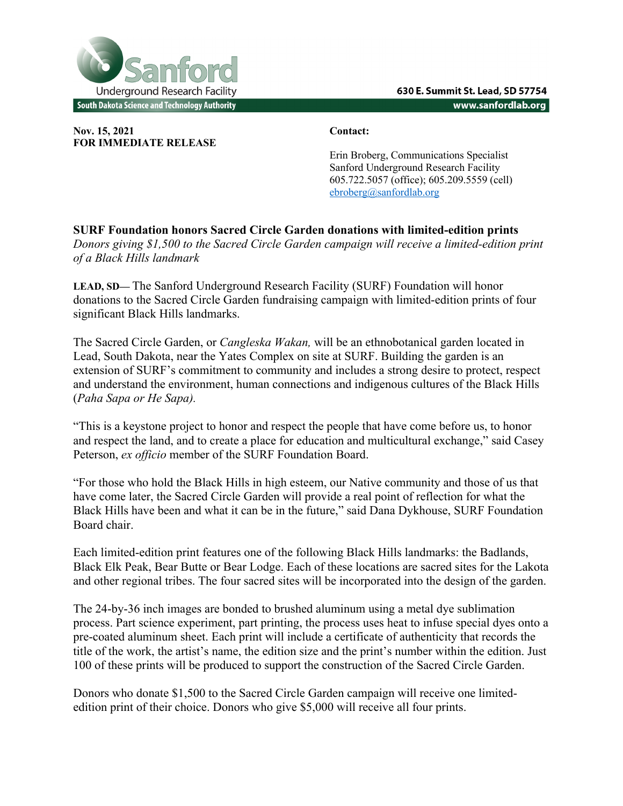

**Nov. 15, 2021 Contact: FOR IMMEDIATE RELEASE**

Erin Broberg, Communications Specialist Sanford Underground Research Facility 605.722.5057 (office); 605.209.5559 (cell) ebroberg@sanfordlab.org

**SURF Foundation honors Sacred Circle Garden donations with limited-edition prints** *Donors giving \$1,500 to the Sacred Circle Garden campaign will receive a limited-edition print of a Black Hills landmark* 

**LEAD, SD—** The Sanford Underground Research Facility (SURF) Foundation will honor donations to the Sacred Circle Garden fundraising campaign with limited-edition prints of four significant Black Hills landmarks.

The Sacred Circle Garden, or *Cangleska Wakan,* will be an ethnobotanical garden located in Lead, South Dakota, near the Yates Complex on site at SURF. Building the garden is an extension of SURF's commitment to community and includes a strong desire to protect, respect and understand the environment, human connections and indigenous cultures of the Black Hills (*Paha Sapa or He Sapa).*

"This is a keystone project to honor and respect the people that have come before us, to honor and respect the land, and to create a place for education and multicultural exchange," said Casey Peterson, *ex officio* member of the SURF Foundation Board.

"For those who hold the Black Hills in high esteem, our Native community and those of us that have come later, the Sacred Circle Garden will provide a real point of reflection for what the Black Hills have been and what it can be in the future," said Dana Dykhouse, SURF Foundation Board chair.

Each limited-edition print features one of the following Black Hills landmarks: the Badlands, Black Elk Peak, Bear Butte or Bear Lodge. Each of these locations are sacred sites for the Lakota and other regional tribes. The four sacred sites will be incorporated into the design of the garden.

The 24-by-36 inch images are bonded to brushed aluminum using a metal dye sublimation process. Part science experiment, part printing, the process uses heat to infuse special dyes onto a pre-coated aluminum sheet. Each print will include a certificate of authenticity that records the title of the work, the artist's name, the edition size and the print's number within the edition. Just 100 of these prints will be produced to support the construction of the Sacred Circle Garden.

Donors who donate \$1,500 to the Sacred Circle Garden campaign will receive one limitededition print of their choice. Donors who give \$5,000 will receive all four prints.